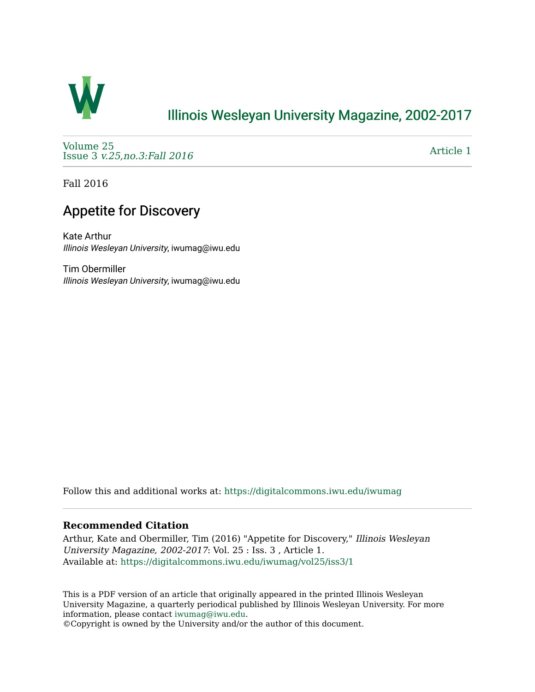

### [Illinois Wesleyan University Magazine, 2002-2017](https://digitalcommons.iwu.edu/iwumag)

[Volume 25](https://digitalcommons.iwu.edu/iwumag/vol25)  Issue 3 [v.25,no.3:Fall 2016](https://digitalcommons.iwu.edu/iwumag/vol25/iss3) 

[Article 1](https://digitalcommons.iwu.edu/iwumag/vol25/iss3/1) 

Fall 2016

## Appetite for Discovery

Kate Arthur Illinois Wesleyan University, iwumag@iwu.edu

Tim Obermiller Illinois Wesleyan University, iwumag@iwu.edu

Follow this and additional works at: [https://digitalcommons.iwu.edu/iwumag](https://digitalcommons.iwu.edu/iwumag?utm_source=digitalcommons.iwu.edu%2Fiwumag%2Fvol25%2Fiss3%2F1&utm_medium=PDF&utm_campaign=PDFCoverPages) 

### **Recommended Citation**

Arthur, Kate and Obermiller, Tim (2016) "Appetite for Discovery," Illinois Wesleyan University Magazine, 2002-2017: Vol. 25 : Iss. 3 , Article 1. Available at: [https://digitalcommons.iwu.edu/iwumag/vol25/iss3/1](https://digitalcommons.iwu.edu/iwumag/vol25/iss3/1?utm_source=digitalcommons.iwu.edu%2Fiwumag%2Fvol25%2Fiss3%2F1&utm_medium=PDF&utm_campaign=PDFCoverPages)

This is a PDF version of an article that originally appeared in the printed Illinois Wesleyan University Magazine, a quarterly periodical published by Illinois Wesleyan University. For more information, please contact [iwumag@iwu.edu](mailto:iwumag@iwu.edu).

©Copyright is owned by the University and/or the author of this document.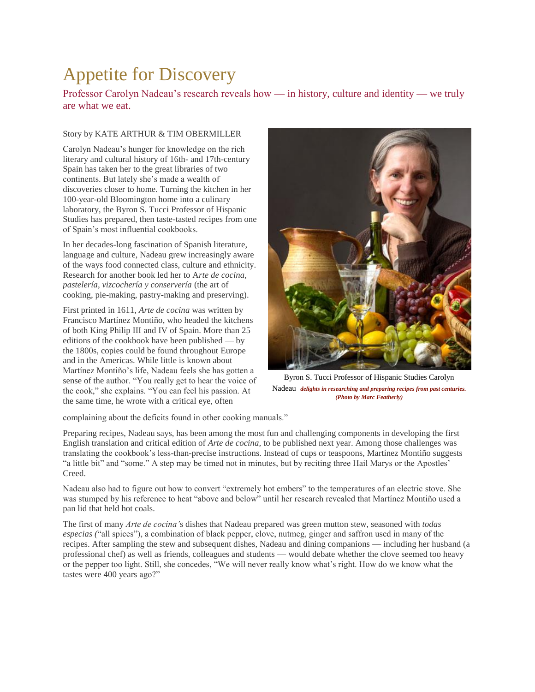# Appetite for Discovery

Professor Carolyn Nadeau's research reveals how — in history, culture and identity — we truly are what we eat.

#### Story by KATE ARTHUR & TIM OBERMILLER

Carolyn Nadeau's hunger for knowledge on the rich literary and cultural history of 16th- and 17th-century Spain has taken her to the great libraries of two continents. But lately she's made a wealth of discoveries closer to home. Turning the kitchen in her 100-year-old Bloomington home into a culinary laboratory, the Byron S. Tucci Professor of Hispanic Studies has prepared, then taste-tasted recipes from one of Spain's most influential cookbooks.

In her decades-long fascination of Spanish literature, language and culture, Nadeau grew increasingly aware of the ways food connected class, culture and ethnicity. Research for another book led her to A*rte de cocina, pastelería, vizcochería y conservería* (the art of cooking, pie-making, pastry-making and preserving).

First printed in 1611, *Arte de cocina* was written by Francisco Martínez Montiño, who headed the kitchens of both King Philip III and IV of Spain. More than 25 editions of the cookbook have been published — by the 1800s, copies could be found throughout Europe and in the Americas. While little is known about Martínez Montiño's life, Nadeau feels she has gotten a sense of the author. "You really get to hear the voice of the cook," she explains. "You can feel his passion. At the same time, he wrote with a critical eye, often



Byron S. Tucci Professor of Hispanic Studies Carolyn Nadeau *delights in researching and preparing recipes from past centuries. (Photo by Marc Featherly)*

complaining about the deficits found in other cooking manuals."

Preparing recipes, Nadeau says, has been among the most fun and challenging components in developing the first English translation and critical edition of *Arte de cocina,* to be published next year. Among those challenges was translating the cookbook's less-than-precise instructions. Instead of cups or teaspoons, Martínez Montiño suggests "a little bit" and "some." A step may be timed not in minutes, but by reciting three Hail Marys or the Apostles' Creed.

Nadeau also had to figure out how to convert "extremely hot embers" to the temperatures of an electric stove. She was stumped by his reference to heat "above and below" until her research revealed that Martínez Montiño used a pan lid that held hot coals.

The first of many *Arte de cocina'*s dishes that Nadeau prepared was green mutton stew, seasoned with *todas especias (*"all spices"), a combination of black pepper, clove, nutmeg, ginger and saffron used in many of the recipes. After sampling the stew and subsequent dishes, Nadeau and dining companions — including her husband (a professional chef) as well as friends, colleagues and students — would debate whether the clove seemed too heavy or the pepper too light. Still, she concedes, "We will never really know what's right. How do we know what the tastes were 400 years ago?"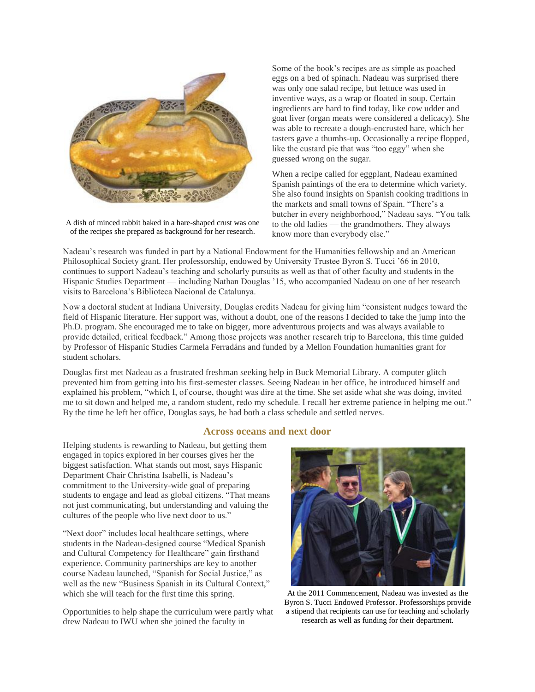

A dish of minced rabbit baked in a hare-shaped crust was one of the recipes she prepared as background for her research.

Some of the book's recipes are as simple as poached eggs on a bed of spinach. Nadeau was surprised there was only one salad recipe, but lettuce was used in inventive ways, as a wrap or floated in soup. Certain ingredients are hard to find today, like cow udder and goat liver (organ meats were considered a delicacy). She was able to recreate a dough-encrusted hare, which her tasters gave a thumbs-up. Occasionally a recipe flopped, like the custard pie that was "too eggy" when she guessed wrong on the sugar.

When a recipe called for eggplant, Nadeau examined Spanish paintings of the era to determine which variety. She also found insights on Spanish cooking traditions in the markets and small towns of Spain. "There's a butcher in every neighborhood," Nadeau says. "You talk to the old ladies — the grandmothers. They always know more than everybody else."

Nadeau's research was funded in part by a National Endowment for the Humanities fellowship and an American Philosophical Society grant. Her professorship, endowed by University Trustee Byron S. Tucci '66 in 2010, continues to support Nadeau's teaching and scholarly pursuits as well as that of other faculty and students in the Hispanic Studies Department — including Nathan Douglas '15, who accompanied Nadeau on one of her research visits to Barcelona's Biblioteca Nacional de Catalunya.

Now a doctoral student at Indiana University, Douglas credits Nadeau for giving him "consistent nudges toward the field of Hispanic literature. Her support was, without a doubt, one of the reasons I decided to take the jump into the Ph.D. program. She encouraged me to take on bigger, more adventurous projects and was always available to provide detailed, critical feedback." Among those projects was another research trip to Barcelona, this time guided by Professor of Hispanic Studies Carmela Ferradáns and funded by a Mellon Foundation humanities grant for student scholars.

Douglas first met Nadeau as a frustrated freshman seeking help in Buck Memorial Library. A computer glitch prevented him from getting into his first-semester classes. Seeing Nadeau in her office, he introduced himself and explained his problem, "which I, of course, thought was dire at the time. She set aside what she was doing, invited me to sit down and helped me, a random student, redo my schedule. I recall her extreme patience in helping me out." By the time he left her office, Douglas says, he had both a class schedule and settled nerves.

### **Across oceans and next door**

Helping students is rewarding to Nadeau, but getting them engaged in topics explored in her courses gives her the biggest satisfaction. What stands out most, says Hispanic Department Chair Christina Isabelli, is Nadeau's commitment to the University-wide goal of preparing students to engage and lead as global citizens. "That means not just communicating, but understanding and valuing the cultures of the people who live next door to us."

"Next door" includes local healthcare settings, where students in the Nadeau-designed course "Medical Spanish and Cultural Competency for Healthcare" gain firsthand experience. Community partnerships are key to another course Nadeau launched, "Spanish for Social Justice," as well as the new "Business Spanish in its Cultural Context," which she will teach for the first time this spring.

Opportunities to help shape the curriculum were partly what drew Nadeau to IWU when she joined the faculty in



At the 2011 Commencement, Nadeau was invested as the Byron S. Tucci Endowed Professor. Professorships provide a stipend that recipients can use for teaching and scholarly research as well as funding for their department.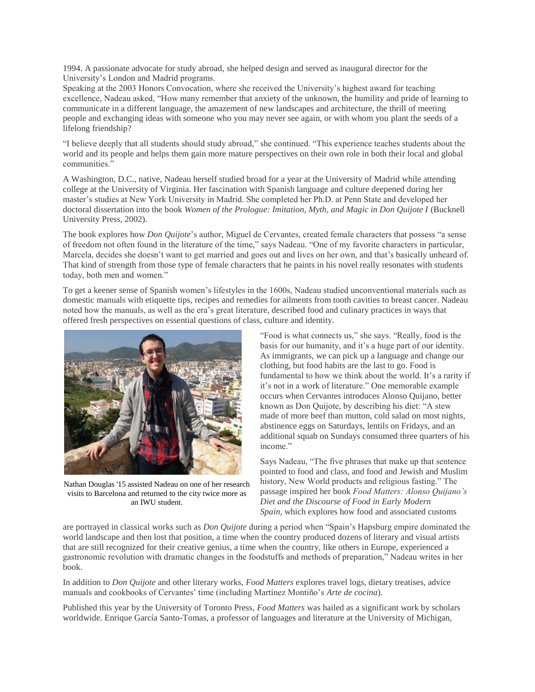1994. A passionate advocate for study abroad, she helped design and served as inaugural director for the University's London and Madrid programs.

Speaking at the 2003 Honors Convocation, where she received the University's highest award for teaching excellence, Nadeau asked, "How many remember that anxiety of the unknown, the humility and pride of learning to communicate in a different language, the amazement of new landscapes and architecture, the thrill of meeting people and exchanging ideas with someone who you may never see again, or with whom you plant the seeds of a lifelong friendship?

"I believe deeply that all students should study abroad," she continued. "This experience teaches students about the world and its people and helps them gain more mature perspectives on their own role in both their local and global communities."

A Washington, D.C., native, Nadeau herself studied broad for a year at the University of Madrid while attending college at the University of Virginia. Her fascination with Spanish language and culture deepened during her master's studies at New York University in Madrid. She completed her Ph.D. at Penn State and developed her doctoral dissertation into the book *Women of the Prologue: Imitation, Myth, and Magic in Don Quijote I* (Bucknell University Press, 2002).

The book explores how *Don Quijote*'s author, Miguel de Cervantes, created female characters that possess "a sense of freedom not often found in the literature of the time," says Nadeau. "One of my favorite characters in particular, Marcela, decides she doesn't want to get married and goes out and lives on her own, and that's basically unheard of. That kind of strength from those type of female characters that he paints in his novel really resonates with students today, both men and women."

To get a keener sense of Spanish women's lifestyles in the 1600s, Nadeau studied unconventional materials such as domestic manuals with etiquette tips, recipes and remedies for ailments from tooth cavities to breast cancer. Nadeau noted how the manuals, as well as the era's great literature, described food and culinary practices in ways that offered fresh perspectives on essential questions of class, culture and identity.



Nathan Douglas '15 assisted Nadeau on one of her research visits to Barcelona and returned to the city twice more as an IWU student.

"Food is what connects us," she says. "Really, food is the basis for our humanity, and it's a huge part of our identity. As immigrants, we can pick up a language and change our clothing, but food habits are the last to go. Food is fundamental to how we think about the world. It's a rarity if it's not in a work of literature." One memorable example occurs when Cervantes introduces Alonso Quijano, better known as Don Quijote, by describing his diet: "A stew made of more beef than mutton, cold salad on most nights, abstinence eggs on Saturdays, lentils on Fridays, and an additional squab on Sundays consumed three quarters of his income"

Says Nadeau, "The five phrases that make up that sentence pointed to food and class, and food and Jewish and Muslim history, New World products and religious fasting." The passage inspired her book *Food Matters: Alonso Quijano's Diet and the Discourse of Food in Early Modern Spain,* which explores how food and associated customs

are portrayed in classical works such as *Don Quijote* during a period when "Spain's Hapsburg empire dominated the world landscape and then lost that position, a time when the country produced dozens of literary and visual artists that are still recognized for their creative genius, a time when the country, like others in Europe, experienced a gastronomic revolution with dramatic changes in the foodstuffs and methods of preparation," Nadeau writes in her book.

In addition to *Don Quijote* and other literary works, *Food Matters* explores travel logs, dietary treatises, advice manuals and cookbooks of Cervantes' time (including Martínez Montiño's *Arte de cocina*).

Published this year by the University of Toronto Press, *Food Matters* was hailed as a significant work by scholars worldwide. Enrique García Santo-Tomas, a professor of languages and literature at the University of Michigan,